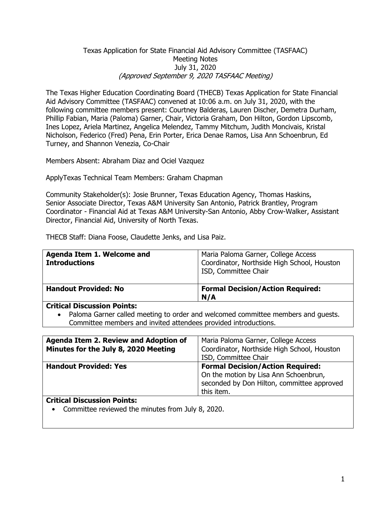# Texas Application for State Financial Aid Advisory Committee (TASFAAC) Meeting Notes July 31, 2020 (Approved September 9, 2020 TASFAAC Meeting)

The Texas Higher Education Coordinating Board (THECB) Texas Application for State Financial Aid Advisory Committee (TASFAAC) convened at 10:06 a.m. on July 31, 2020, with the following committee members present: Courtney Balderas, Lauren Discher, Demetra Durham, Phillip Fabian, Maria (Paloma) Garner, Chair, Victoria Graham, Don Hilton, Gordon Lipscomb, Ines Lopez, Ariela Martinez, Angelica Melendez, Tammy Mitchum, Judith Moncivais, Kristal Nicholson, Federico (Fred) Pena, Erin Porter, Erica Denae Ramos, Lisa Ann Schoenbrun, Ed Turney, and Shannon Venezia, Co-Chair

Members Absent: Abraham Diaz and Ociel Vazquez

ApplyTexas Technical Team Members: Graham Chapman

Community Stakeholder(s): Josie Brunner, Texas Education Agency, Thomas Haskins, Senior Associate Director, Texas A&M University San Antonio, Patrick Brantley, Program Coordinator - Financial Aid at Texas A&M University-San Antonio, Abby Crow-Walker, Assistant Director, Financial Aid, University of North Texas.

THECB Staff: Diana Foose, Claudette Jenks, and Lisa Paiz.

| Agenda Item 1. Welcome and<br><b>Introductions</b>                                                                                  | Maria Paloma Garner, College Access<br>Coordinator, Northside High School, Houston<br>ISD, Committee Chair |
|-------------------------------------------------------------------------------------------------------------------------------------|------------------------------------------------------------------------------------------------------------|
| <b>Handout Provided: No</b>                                                                                                         | <b>Formal Decision/Action Required:</b><br>N/A                                                             |
| <b>Critical Discussion Points:</b><br>Paloma Garner called meeting to order and welcomed committee members and guests.<br>$\bullet$ |                                                                                                            |

Committee members and invited attendees provided introductions.

| Agenda Item 2. Review and Adoption of<br>Minutes for the July 8, 2020 Meeting | Maria Paloma Garner, College Access<br>Coordinator, Northside High School, Houston<br>ISD, Committee Chair                                   |
|-------------------------------------------------------------------------------|----------------------------------------------------------------------------------------------------------------------------------------------|
| <b>Handout Provided: Yes</b>                                                  | <b>Formal Decision/Action Required:</b><br>On the motion by Lisa Ann Schoenbrun,<br>seconded by Don Hilton, committee approved<br>this item. |
| <b>Critical Discussion Points:</b>                                            |                                                                                                                                              |

• Committee reviewed the minutes from July 8, 2020.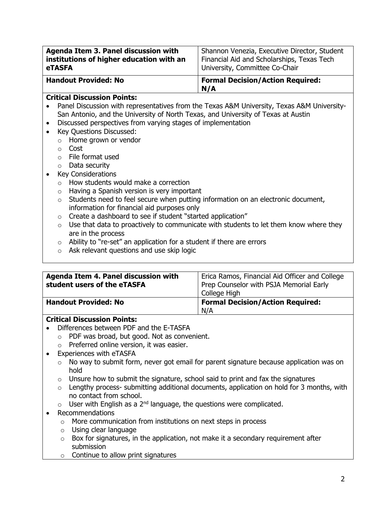| Agenda Item 3. Panel discussion with     | Shannon Venezia, Executive Director, Student   |
|------------------------------------------|------------------------------------------------|
| institutions of higher education with an | Financial Aid and Scholarships, Texas Tech     |
| <b>eTASFA</b>                            | University, Committee Co-Chair                 |
| <b>Handout Provided: No</b>              | <b>Formal Decision/Action Required:</b><br>N/A |

# **Critical Discussion Points:**

- Panel Discussion with representatives from the Texas A&M University, Texas A&M University-San Antonio, and the University of North Texas, and University of Texas at Austin
- Discussed perspectives from varying stages of implementation
- Key Questions Discussed:
	- o Home grown or vendor
	- o Cost
	- o File format used
	- o Data security
- Key Considerations
	- o How students would make a correction
	- o Having a Spanish version is very important
	- o Students need to feel secure when putting information on an electronic document, information for financial aid purposes only
	- $\circ$  Create a dashboard to see if student "started application"
	- $\circ$  Use that data to proactively to communicate with students to let them know where they are in the process
	- $\circ$  Ability to "re-set" an application for a student if there are errors
	- o Ask relevant questions and use skip logic

| Agenda Item 4. Panel discussion with<br>student users of the eTASFA | Erica Ramos, Financial Aid Officer and College<br>Prep Counselor with PSJA Memorial Early<br>College High |
|---------------------------------------------------------------------|-----------------------------------------------------------------------------------------------------------|
| <b>Handout Provided: No</b>                                         | <b>Formal Decision/Action Required:</b><br>N/A                                                            |

# **Critical Discussion Points:**

- Differences between PDF and the E-TASFA
	- o PDF was broad, but good. Not as convenient.
	- o Preferred online version, it was easier.
- Experiences with eTASFA
	- o No way to submit form, never got email for parent signature because application was on hold
	- $\circ$  Unsure how to submit the signature, school said to print and fax the signatures
	- o Lengthy process- submitting additional documents, application on hold for 3 months, with no contact from school.
	- $\circ$  User with English as a 2<sup>nd</sup> language, the questions were complicated.
- Recommendations
	- o More communication from institutions on next steps in process
	- o Using clear language
	- $\circ$  Box for signatures, in the application, not make it a secondary requirement after submission
	- $\circ$  Continue to allow print signatures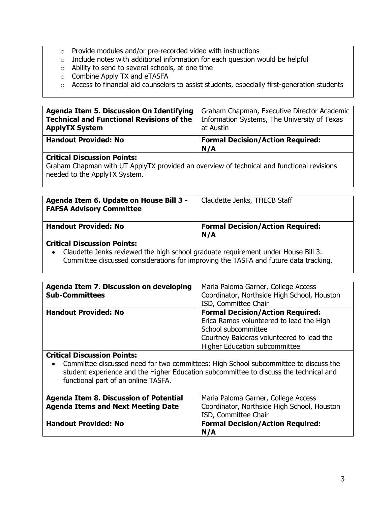- o Provide modules and/or pre-recorded video with instructions
- o Include notes with additional information for each question would be helpful
- o Ability to send to several schools, at one time
- o Combine Apply TX and eTASFA
- o Access to financial aid counselors to assist students, especially first-generation students

| <b>Agenda Item 5. Discussion On Identifying</b>  | Graham Chapman, Executive Director Academic    |
|--------------------------------------------------|------------------------------------------------|
| <b>Technical and Functional Revisions of the</b> | Information Systems, The University of Texas   |
| <b>ApplyTX System</b>                            | at Austin                                      |
| <b>Handout Provided: No</b>                      | <b>Formal Decision/Action Required:</b><br>N/A |

## **Critical Discussion Points:**

Graham Chapman with UT ApplyTX provided an overview of technical and functional revisions needed to the ApplyTX System.

| Agenda Item 6. Update on House Bill 3 -<br><b>FAFSA Advisory Committee</b> | Claudette Jenks, THECB Staff                   |
|----------------------------------------------------------------------------|------------------------------------------------|
| <b>Handout Provided: No</b>                                                | <b>Formal Decision/Action Required:</b><br>N/A |

# **Critical Discussion Points:**

• Claudette Jenks reviewed the high school graduate requirement under House Bill 3. Committee discussed considerations for improving the TASFA and future data tracking.

| Agenda Item 7. Discussion on developing | Maria Paloma Garner, College Access         |
|-----------------------------------------|---------------------------------------------|
| <b>Sub-Committees</b>                   | Coordinator, Northside High School, Houston |
|                                         | ISD, Committee Chair                        |
| <b>Handout Provided: No</b>             | <b>Formal Decision/Action Required:</b>     |
|                                         | Erica Ramos volunteered to lead the High    |
|                                         | School subcommittee                         |
|                                         | Courtney Balderas volunteered to lead the   |
|                                         | Higher Education subcommittee               |

## **Critical Discussion Points:**

• Committee discussed need for two committees: High School subcommittee to discuss the student experience and the Higher Education subcommittee to discuss the technical and functional part of an online TASFA.

| <b>Agenda Item 8. Discussion of Potential</b><br><b>Agenda Items and Next Meeting Date</b> | Maria Paloma Garner, College Access<br>Coordinator, Northside High School, Houston<br>ISD, Committee Chair |
|--------------------------------------------------------------------------------------------|------------------------------------------------------------------------------------------------------------|
| <b>Handout Provided: No</b>                                                                | <b>Formal Decision/Action Required:</b><br>N/A                                                             |